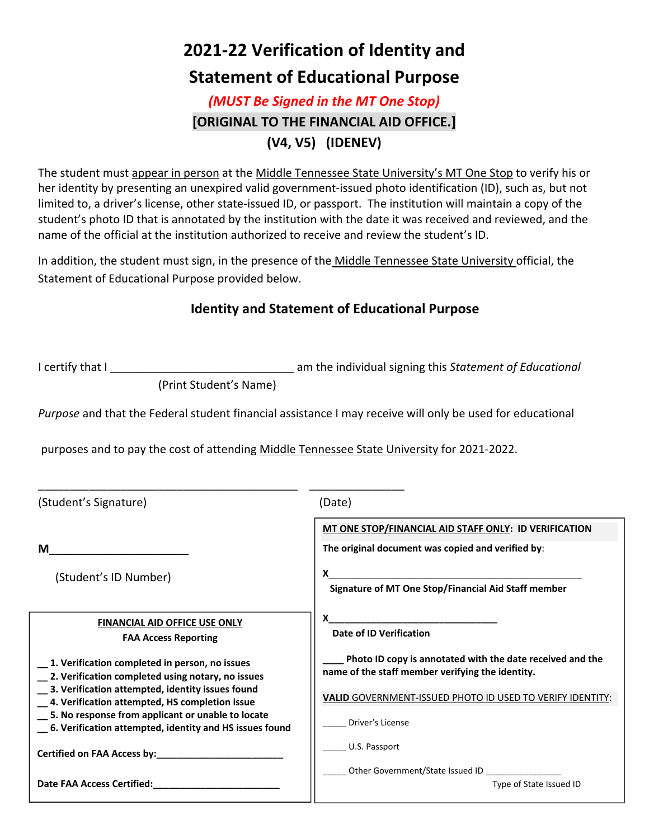# **2021‐22 Verification of Identity and**

## **Statement of Educational Purpose**

### *(MUST Be Signed in the MT One Stop)* **[ORIGINAL TO THE FINANCIAL AID OFFICE.] (V4, V5) (IDENEV)**

The student must appear in person at the Middle Tennessee State University's MT One Stop to verify his or her identity by presenting an unexpired valid government-issued photo identification (ID), such as, but not limited to, a driver's license, other state‐issued ID, or passport. The institution will maintain a copy of the student's photo ID that is annotated by the institution with the date it was received and reviewed, and the name of the official at the institution authorized to receive and review the student's ID.

In addition, the student must sign, in the presence of the Middle Tennessee State University official, the Statement of Educational Purpose provided below.

#### **Identity and Statement of Educational Purpose**

I certify that I \_\_\_\_\_\_\_\_\_\_\_\_\_\_\_\_\_\_\_\_\_\_\_\_\_\_\_\_\_ am the individual signing this *Statement of Educational*

(Print Student's Name)

*Purpose* and that the Federal student financial assistance I may receive will only be used for educational

purposes and to pay the cost of attending Middle Tennessee State University for 2021‐2022.

| (Student's Signature)                                                                                                                                                                                                                                                                                                      | (Date)                                                                                                        |  |
|----------------------------------------------------------------------------------------------------------------------------------------------------------------------------------------------------------------------------------------------------------------------------------------------------------------------------|---------------------------------------------------------------------------------------------------------------|--|
|                                                                                                                                                                                                                                                                                                                            | MT ONE STOP/FINANCIAL AID STAFF ONLY: ID VERIFICATION                                                         |  |
| М                                                                                                                                                                                                                                                                                                                          | The original document was copied and verified by:                                                             |  |
| (Student's ID Number)                                                                                                                                                                                                                                                                                                      | X<br>Signature of MT One Stop/Financial Aid Staff member                                                      |  |
| <b>FINANCIAL AID OFFICE USE ONLY</b><br><b>FAA Access Reporting</b>                                                                                                                                                                                                                                                        | Date of ID Verification                                                                                       |  |
| 1. Verification completed in person, no issues<br>2. Verification completed using notary, no issues<br>_3. Verification attempted, identity issues found<br>4. Verification attempted, HS completion issue<br>5. No response from applicant or unable to locate<br>6. Verification attempted, identity and HS issues found | Photo ID copy is annotated with the date received and the<br>name of the staff member verifying the identity. |  |
|                                                                                                                                                                                                                                                                                                                            | VALID GOVERNMENT-ISSUED PHOTO ID USED TO VERIFY IDENTITY:                                                     |  |
|                                                                                                                                                                                                                                                                                                                            | Driver's License                                                                                              |  |
|                                                                                                                                                                                                                                                                                                                            | U.S. Passport                                                                                                 |  |
| <b>Date FAA Access Certified:</b>                                                                                                                                                                                                                                                                                          | Other Government/State Issued ID _____________<br>Type of State Issued ID                                     |  |